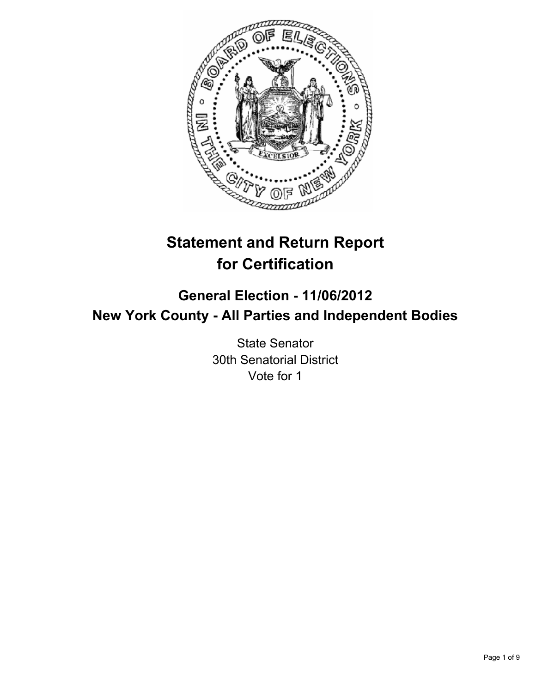

# **Statement and Return Report for Certification**

# **General Election - 11/06/2012 New York County - All Parties and Independent Bodies**

State Senator 30th Senatorial District Vote for 1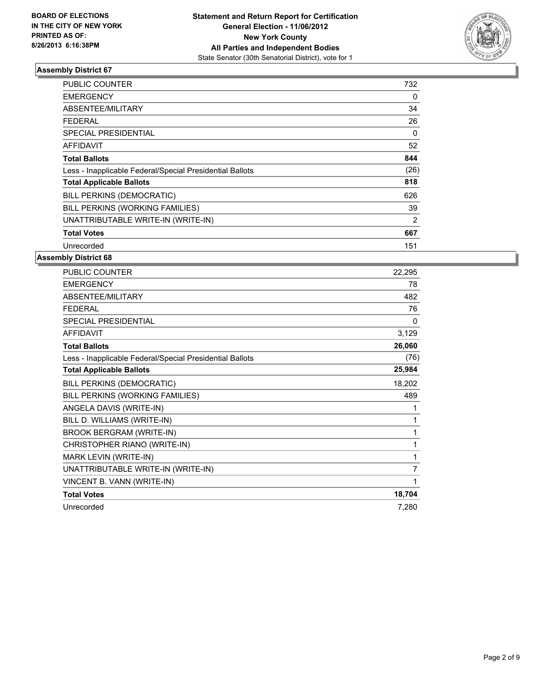

| PUBLIC COUNTER                                           | 732  |
|----------------------------------------------------------|------|
| <b>EMERGENCY</b>                                         | 0    |
| ABSENTEE/MILITARY                                        | 34   |
| <b>FEDERAL</b>                                           | 26   |
| <b>SPECIAL PRESIDENTIAL</b>                              | 0    |
| <b>AFFIDAVIT</b>                                         | 52   |
| <b>Total Ballots</b>                                     | 844  |
| Less - Inapplicable Federal/Special Presidential Ballots | (26) |
| <b>Total Applicable Ballots</b>                          | 818  |
| BILL PERKINS (DEMOCRATIC)                                | 626  |
| BILL PERKINS (WORKING FAMILIES)                          | 39   |
| UNATTRIBUTABLE WRITE-IN (WRITE-IN)                       | 2    |
| <b>Total Votes</b>                                       | 667  |
| Unrecorded                                               | 151  |

| PUBLIC COUNTER                                           | 22,295         |
|----------------------------------------------------------|----------------|
| <b>EMERGENCY</b>                                         | 78             |
| ABSENTEE/MILITARY                                        | 482            |
| <b>FEDERAL</b>                                           | 76             |
| SPECIAL PRESIDENTIAL                                     | 0              |
| <b>AFFIDAVIT</b>                                         | 3,129          |
| <b>Total Ballots</b>                                     | 26,060         |
| Less - Inapplicable Federal/Special Presidential Ballots | (76)           |
| <b>Total Applicable Ballots</b>                          | 25,984         |
| BILL PERKINS (DEMOCRATIC)                                | 18,202         |
| BILL PERKINS (WORKING FAMILIES)                          | 489            |
| ANGELA DAVIS (WRITE-IN)                                  | 1              |
| BILL D. WILLIAMS (WRITE-IN)                              | 1              |
| <b>BROOK BERGRAM (WRITE-IN)</b>                          | 1              |
| CHRISTOPHER RIANO (WRITE-IN)                             | 1              |
| MARK LEVIN (WRITE-IN)                                    | 1              |
| UNATTRIBUTABLE WRITE-IN (WRITE-IN)                       | $\overline{7}$ |
| VINCENT B. VANN (WRITE-IN)                               | 1              |
| <b>Total Votes</b>                                       | 18,704         |
| Unrecorded                                               | 7,280          |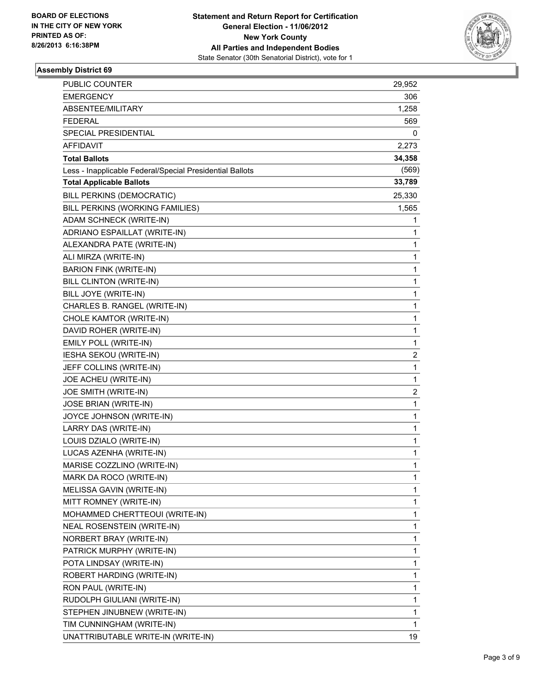

| <b>PUBLIC COUNTER</b>                                    | 29,952       |
|----------------------------------------------------------|--------------|
| <b>EMERGENCY</b>                                         | 306          |
| ABSENTEE/MILITARY                                        | 1,258        |
| <b>FEDERAL</b>                                           | 569          |
| SPECIAL PRESIDENTIAL                                     | 0            |
| AFFIDAVIT                                                | 2,273        |
| <b>Total Ballots</b>                                     | 34,358       |
| Less - Inapplicable Federal/Special Presidential Ballots | (569)        |
| <b>Total Applicable Ballots</b>                          | 33,789       |
| BILL PERKINS (DEMOCRATIC)                                | 25,330       |
| BILL PERKINS (WORKING FAMILIES)                          | 1,565        |
| ADAM SCHNECK (WRITE-IN)                                  | 1            |
| ADRIANO ESPAILLAT (WRITE-IN)                             | 1            |
| ALEXANDRA PATE (WRITE-IN)                                | 1            |
| ALI MIRZA (WRITE-IN)                                     | 1            |
| BARION FINK (WRITE-IN)                                   | 1            |
| BILL CLINTON (WRITE-IN)                                  | 1            |
| BILL JOYE (WRITE-IN)                                     | 1            |
| CHARLES B. RANGEL (WRITE-IN)                             | 1            |
| CHOLE KAMTOR (WRITE-IN)                                  | 1            |
| DAVID ROHER (WRITE-IN)                                   | 1            |
| EMILY POLL (WRITE-IN)                                    | 1            |
| IESHA SEKOU (WRITE-IN)                                   | 2            |
| JEFF COLLINS (WRITE-IN)                                  | $\mathbf{1}$ |
| JOE ACHEU (WRITE-IN)                                     | 1            |
| JOE SMITH (WRITE-IN)                                     | 2            |
| JOSE BRIAN (WRITE-IN)                                    | $\mathbf{1}$ |
| JOYCE JOHNSON (WRITE-IN)                                 | 1            |
| LARRY DAS (WRITE-IN)                                     | 1            |
| LOUIS DZIALO (WRITE-IN)                                  | $\mathbf{1}$ |
| LUCAS AZENHA (WRITE-IN)                                  | 1            |
| MARISE COZZLINO (WRITE-IN)                               | 1            |
| MARK DA ROCO (WRITE-IN)                                  | 1            |
| MELISSA GAVIN (WRITE-IN)                                 | 1            |
| MITT ROMNEY (WRITE-IN)                                   | 1            |
| MOHAMMED CHERTTEOUI (WRITE-IN)                           | 1            |
| NEAL ROSENSTEIN (WRITE-IN)                               | 1            |
| NORBERT BRAY (WRITE-IN)                                  | 1            |
| PATRICK MURPHY (WRITE-IN)                                | 1            |
| POTA LINDSAY (WRITE-IN)                                  | 1            |
| ROBERT HARDING (WRITE-IN)                                | 1            |
| RON PAUL (WRITE-IN)                                      | 1            |
| RUDOLPH GIULIANI (WRITE-IN)                              | 1            |
| STEPHEN JINUBNEW (WRITE-IN)                              | 1            |
| TIM CUNNINGHAM (WRITE-IN)                                | 1            |
| UNATTRIBUTABLE WRITE-IN (WRITE-IN)                       | 19           |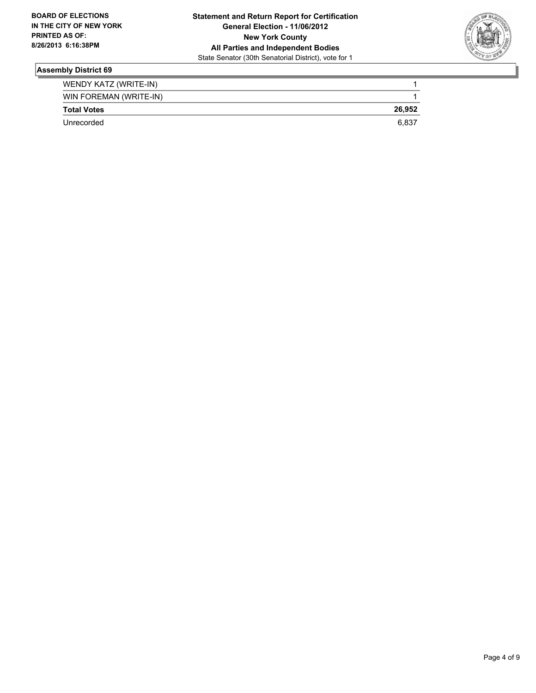

| WENDY KATZ (WRITE-IN)  |        |
|------------------------|--------|
| WIN FOREMAN (WRITE-IN) |        |
| <b>Total Votes</b>     | 26.952 |
| Unrecorded             | 6.837  |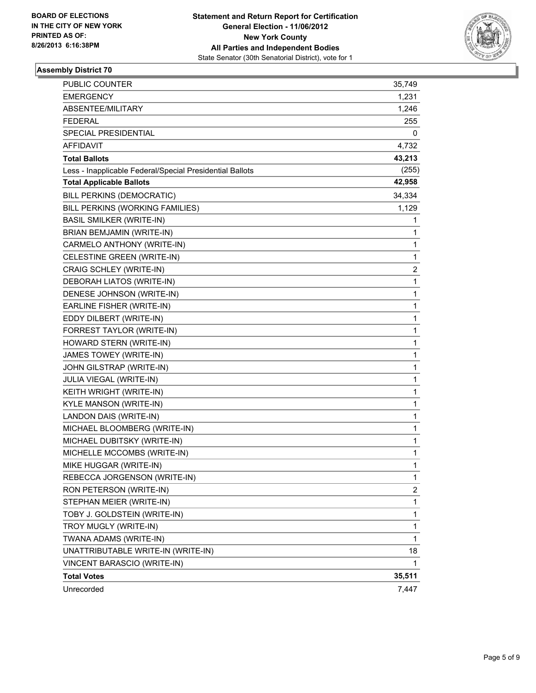

| <b>PUBLIC COUNTER</b>                                    | 35,749       |
|----------------------------------------------------------|--------------|
| <b>EMERGENCY</b>                                         | 1,231        |
| ABSENTEE/MILITARY                                        | 1,246        |
| <b>FEDERAL</b>                                           | 255          |
| SPECIAL PRESIDENTIAL                                     | 0            |
| <b>AFFIDAVIT</b>                                         | 4,732        |
| <b>Total Ballots</b>                                     | 43,213       |
| Less - Inapplicable Federal/Special Presidential Ballots | (255)        |
| <b>Total Applicable Ballots</b>                          | 42,958       |
| BILL PERKINS (DEMOCRATIC)                                | 34,334       |
| BILL PERKINS (WORKING FAMILIES)                          | 1,129        |
| <b>BASIL SMILKER (WRITE-IN)</b>                          | 1            |
| BRIAN BEMJAMIN (WRITE-IN)                                | 1            |
| CARMELO ANTHONY (WRITE-IN)                               | 1            |
| CELESTINE GREEN (WRITE-IN)                               | 1            |
| CRAIG SCHLEY (WRITE-IN)                                  | 2            |
| DEBORAH LIATOS (WRITE-IN)                                | 1            |
| DENESE JOHNSON (WRITE-IN)                                | 1            |
| EARLINE FISHER (WRITE-IN)                                | 1            |
| EDDY DILBERT (WRITE-IN)                                  | 1            |
| FORREST TAYLOR (WRITE-IN)                                | 1            |
| HOWARD STERN (WRITE-IN)                                  | 1            |
| JAMES TOWEY (WRITE-IN)                                   | 1            |
| JOHN GILSTRAP (WRITE-IN)                                 | 1            |
| JULIA VIEGAL (WRITE-IN)                                  | 1            |
| KEITH WRIGHT (WRITE-IN)                                  | 1            |
| KYLE MANSON (WRITE-IN)                                   | 1            |
| LANDON DAIS (WRITE-IN)                                   | 1            |
| MICHAEL BLOOMBERG (WRITE-IN)                             | 1            |
| MICHAEL DUBITSKY (WRITE-IN)                              | 1            |
| MICHELLE MCCOMBS (WRITE-IN)                              | 1            |
| MIKE HUGGAR (WRITE-IN)                                   | 1            |
| REBECCA JORGENSON (WRITE-IN)                             | 1            |
| RON PETERSON (WRITE-IN)                                  | 2            |
| STEPHAN MEIER (WRITE-IN)                                 | 1            |
| TOBY J. GOLDSTEIN (WRITE-IN)                             | 1            |
| TROY MUGLY (WRITE-IN)                                    | 1            |
| TWANA ADAMS (WRITE-IN)                                   | $\mathbf{1}$ |
| UNATTRIBUTABLE WRITE-IN (WRITE-IN)                       | 18           |
| VINCENT BARASCIO (WRITE-IN)                              | 1            |
| <b>Total Votes</b>                                       | 35,511       |
| Unrecorded                                               | 7,447        |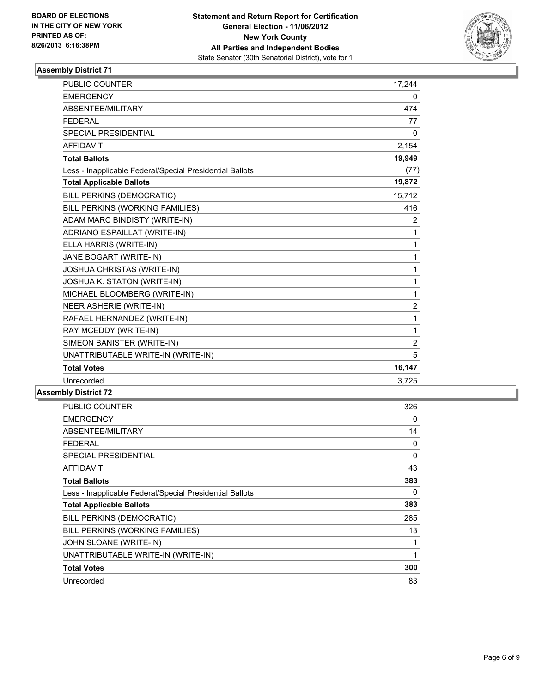

| <b>PUBLIC COUNTER</b>                                    | 17,244         |
|----------------------------------------------------------|----------------|
| <b>EMERGENCY</b>                                         | 0              |
| ABSENTEE/MILITARY                                        | 474            |
| <b>FEDERAL</b>                                           | 77             |
| SPECIAL PRESIDENTIAL                                     | $\Omega$       |
| <b>AFFIDAVIT</b>                                         | 2,154          |
| <b>Total Ballots</b>                                     | 19,949         |
| Less - Inapplicable Federal/Special Presidential Ballots | (77)           |
| <b>Total Applicable Ballots</b>                          | 19,872         |
| <b>BILL PERKINS (DEMOCRATIC)</b>                         | 15,712         |
| BILL PERKINS (WORKING FAMILIES)                          | 416            |
| ADAM MARC BINDISTY (WRITE-IN)                            | 2              |
| ADRIANO ESPAILLAT (WRITE-IN)                             | 1              |
| ELLA HARRIS (WRITE-IN)                                   | 1              |
| JANE BOGART (WRITE-IN)                                   | 1              |
| <b>JOSHUA CHRISTAS (WRITE-IN)</b>                        | 1              |
| JOSHUA K. STATON (WRITE-IN)                              | 1              |
| MICHAEL BLOOMBERG (WRITE-IN)                             | 1              |
| NEER ASHERIE (WRITE-IN)                                  | $\overline{c}$ |
| RAFAEL HERNANDEZ (WRITE-IN)                              | 1              |
| RAY MCEDDY (WRITE-IN)                                    | 1              |
| SIMEON BANISTER (WRITE-IN)                               | $\overline{2}$ |
| UNATTRIBUTABLE WRITE-IN (WRITE-IN)                       | 5              |
| <b>Total Votes</b>                                       | 16,147         |
| Unrecorded                                               | 3,725          |

| <b>PUBLIC COUNTER</b>                                    | 326      |
|----------------------------------------------------------|----------|
| <b>EMERGENCY</b>                                         | 0        |
| ABSENTEE/MILITARY                                        | 14       |
| <b>FEDERAL</b>                                           | 0        |
| <b>SPECIAL PRESIDENTIAL</b>                              | $\Omega$ |
| AFFIDAVIT                                                | 43       |
| <b>Total Ballots</b>                                     | 383      |
| Less - Inapplicable Federal/Special Presidential Ballots | 0        |
| <b>Total Applicable Ballots</b>                          | 383      |
| BILL PERKINS (DEMOCRATIC)                                | 285      |
| BILL PERKINS (WORKING FAMILIES)                          | 13       |
| JOHN SLOANE (WRITE-IN)                                   |          |
| UNATTRIBUTABLE WRITE-IN (WRITE-IN)                       | 1        |
| <b>Total Votes</b>                                       | 300      |
| Unrecorded                                               | 83       |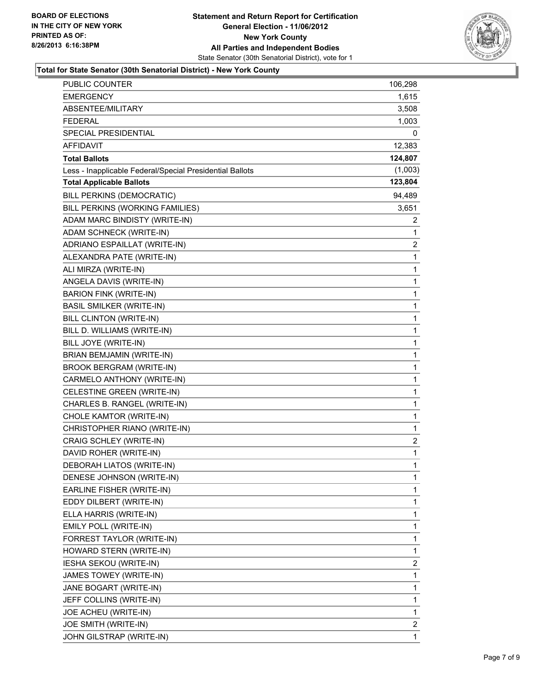

### **Total for State Senator (30th Senatorial District) - New York County**

| PUBLIC COUNTER                                           | 106,298 |
|----------------------------------------------------------|---------|
| EMERGENCY                                                | 1,615   |
| ABSENTEE/MILITARY                                        | 3,508   |
| <b>FEDERAL</b>                                           | 1,003   |
| SPECIAL PRESIDENTIAL                                     | 0       |
| <b>AFFIDAVIT</b>                                         | 12,383  |
| <b>Total Ballots</b>                                     | 124,807 |
| Less - Inapplicable Federal/Special Presidential Ballots | (1,003) |
| <b>Total Applicable Ballots</b>                          | 123,804 |
| BILL PERKINS (DEMOCRATIC)                                | 94,489  |
| BILL PERKINS (WORKING FAMILIES)                          | 3,651   |
| ADAM MARC BINDISTY (WRITE-IN)                            | 2       |
| ADAM SCHNECK (WRITE-IN)                                  | 1       |
| ADRIANO ESPAILLAT (WRITE-IN)                             | 2       |
| ALEXANDRA PATE (WRITE-IN)                                | 1       |
| ALI MIRZA (WRITE-IN)                                     | 1       |
| ANGELA DAVIS (WRITE-IN)                                  | 1       |
| <b>BARION FINK (WRITE-IN)</b>                            | 1       |
| <b>BASIL SMILKER (WRITE-IN)</b>                          | 1       |
| BILL CLINTON (WRITE-IN)                                  | 1       |
| BILL D. WILLIAMS (WRITE-IN)                              | 1       |
| BILL JOYE (WRITE-IN)                                     | 1       |
| BRIAN BEMJAMIN (WRITE-IN)                                | 1       |
| <b>BROOK BERGRAM (WRITE-IN)</b>                          | 1       |
| CARMELO ANTHONY (WRITE-IN)                               | 1       |
| CELESTINE GREEN (WRITE-IN)                               | 1       |
| CHARLES B. RANGEL (WRITE-IN)                             | 1       |
| CHOLE KAMTOR (WRITE-IN)                                  | 1       |
| CHRISTOPHER RIANO (WRITE-IN)                             | 1       |
| CRAIG SCHLEY (WRITE-IN)                                  | 2       |
| DAVID ROHER (WRITE-IN)                                   | 1       |
| DEBORAH LIATOS (WRITE-IN)                                | 1       |
| DENESE JOHNSON (WRITE-IN)                                | 1       |
| EARLINE FISHER (WRITE-IN)                                | 1       |
| EDDY DILBERT (WRITE-IN)                                  | 1       |
| ELLA HARRIS (WRITE-IN)                                   | 1       |
| EMILY POLL (WRITE-IN)                                    | 1       |
| FORREST TAYLOR (WRITE-IN)                                | 1       |
| HOWARD STERN (WRITE-IN)                                  | 1       |
| IESHA SEKOU (WRITE-IN)                                   | 2       |
| JAMES TOWEY (WRITE-IN)                                   | 1       |
| JANE BOGART (WRITE-IN)                                   | 1       |
| JEFF COLLINS (WRITE-IN)                                  | 1       |
| JOE ACHEU (WRITE-IN)                                     | 1       |
| JOE SMITH (WRITE-IN)                                     | 2       |
| JOHN GILSTRAP (WRITE-IN)                                 | 1       |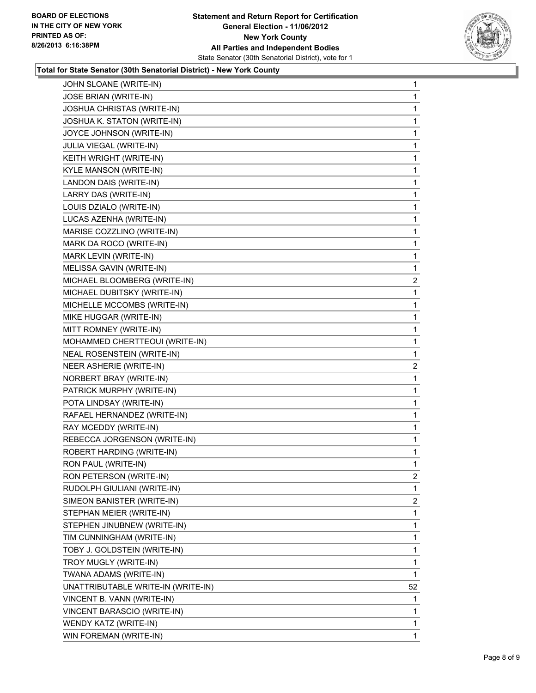

### **Total for State Senator (30th Senatorial District) - New York County**

| JOHN SLOANE (WRITE-IN)             | 1              |
|------------------------------------|----------------|
| JOSE BRIAN (WRITE-IN)              | 1              |
| JOSHUA CHRISTAS (WRITE-IN)         | 1              |
| JOSHUA K. STATON (WRITE-IN)        | 1              |
| JOYCE JOHNSON (WRITE-IN)           | 1              |
| JULIA VIEGAL (WRITE-IN)            | 1              |
| KEITH WRIGHT (WRITE-IN)            | 1              |
| KYLE MANSON (WRITE-IN)             | 1              |
| LANDON DAIS (WRITE-IN)             | 1              |
| LARRY DAS (WRITE-IN)               | 1              |
| LOUIS DZIALO (WRITE-IN)            | 1              |
| LUCAS AZENHA (WRITE-IN)            | 1              |
| MARISE COZZLINO (WRITE-IN)         | 1              |
| MARK DA ROCO (WRITE-IN)            | 1              |
| MARK LEVIN (WRITE-IN)              | 1              |
| MELISSA GAVIN (WRITE-IN)           | 1              |
| MICHAEL BLOOMBERG (WRITE-IN)       | 2              |
| MICHAEL DUBITSKY (WRITE-IN)        | 1              |
| MICHELLE MCCOMBS (WRITE-IN)        | 1              |
| MIKE HUGGAR (WRITE-IN)             | 1              |
| MITT ROMNEY (WRITE-IN)             | 1              |
| MOHAMMED CHERTTEOUI (WRITE-IN)     | 1              |
| NEAL ROSENSTEIN (WRITE-IN)         | 1              |
| NEER ASHERIE (WRITE-IN)            | $\overline{2}$ |
| NORBERT BRAY (WRITE-IN)            | 1              |
| PATRICK MURPHY (WRITE-IN)          | 1              |
| POTA LINDSAY (WRITE-IN)            | 1              |
| RAFAEL HERNANDEZ (WRITE-IN)        | 1              |
| RAY MCEDDY (WRITE-IN)              | 1              |
| REBECCA JORGENSON (WRITE-IN)       | 1              |
| ROBERT HARDING (WRITE-IN)          | 1              |
| RON PAUL (WRITE-IN)                | 1              |
| RON PETERSON (WRITE-IN)            | 2              |
| RUDOLPH GIULIANI (WRITE-IN)        | 1              |
| SIMEON BANISTER (WRITE-IN)         | 2              |
| STEPHAN MEIER (WRITE-IN)           | 1              |
| STEPHEN JINUBNEW (WRITE-IN)        | 1              |
| TIM CUNNINGHAM (WRITE-IN)          | 1              |
| TOBY J. GOLDSTEIN (WRITE-IN)       | 1              |
| TROY MUGLY (WRITE-IN)              | 1              |
| TWANA ADAMS (WRITE-IN)             | 1              |
| UNATTRIBUTABLE WRITE-IN (WRITE-IN) | 52             |
| VINCENT B. VANN (WRITE-IN)         | 1              |
| VINCENT BARASCIO (WRITE-IN)        | 1              |
| WENDY KATZ (WRITE-IN)              | 1              |
| WIN FOREMAN (WRITE-IN)             | $\mathbf{1}$   |